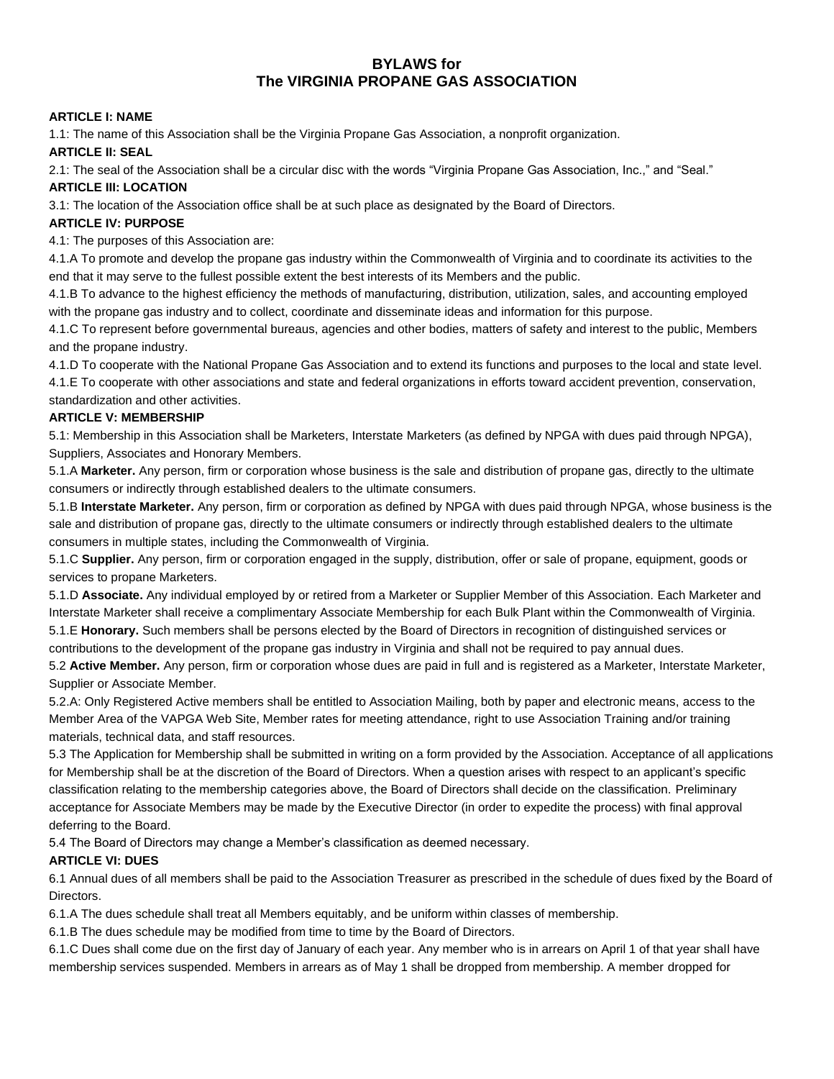# **BYLAWS for The VIRGINIA PROPANE GAS ASSOCIATION**

#### **ARTICLE I: NAME**

1.1: The name of this Association shall be the Virginia Propane Gas Association, a nonprofit organization.

#### **ARTICLE II: SEAL**

2.1: The seal of the Association shall be a circular disc with the words "Virginia Propane Gas Association, Inc.," and "Seal."

#### **ARTICLE III: LOCATION**

3.1: The location of the Association office shall be at such place as designated by the Board of Directors.

### **ARTICLE IV: PURPOSE**

4.1: The purposes of this Association are:

4.1.A To promote and develop the propane gas industry within the Commonwealth of Virginia and to coordinate its activities to the end that it may serve to the fullest possible extent the best interests of its Members and the public.

4.1.B To advance to the highest efficiency the methods of manufacturing, distribution, utilization, sales, and accounting employed with the propane gas industry and to collect, coordinate and disseminate ideas and information for this purpose.

4.1.C To represent before governmental bureaus, agencies and other bodies, matters of safety and interest to the public, Members and the propane industry.

4.1.D To cooperate with the National Propane Gas Association and to extend its functions and purposes to the local and state level. 4.1.E To cooperate with other associations and state and federal organizations in efforts toward accident prevention, conservation, standardization and other activities.

#### **ARTICLE V: MEMBERSHIP**

5.1: Membership in this Association shall be Marketers, Interstate Marketers (as defined by NPGA with dues paid through NPGA), Suppliers, Associates and Honorary Members.

5.1.A **Marketer.** Any person, firm or corporation whose business is the sale and distribution of propane gas, directly to the ultimate consumers or indirectly through established dealers to the ultimate consumers.

5.1.B **Interstate Marketer.** Any person, firm or corporation as defined by NPGA with dues paid through NPGA, whose business is the sale and distribution of propane gas, directly to the ultimate consumers or indirectly through established dealers to the ultimate consumers in multiple states, including the Commonwealth of Virginia.

5.1.C **Supplier.** Any person, firm or corporation engaged in the supply, distribution, offer or sale of propane, equipment, goods or services to propane Marketers.

5.1.D **Associate.** Any individual employed by or retired from a Marketer or Supplier Member of this Association. Each Marketer and Interstate Marketer shall receive a complimentary Associate Membership for each Bulk Plant within the Commonwealth of Virginia. 5.1.E **Honorary.** Such members shall be persons elected by the Board of Directors in recognition of distinguished services or

contributions to the development of the propane gas industry in Virginia and shall not be required to pay annual dues. 5.2 **Active Member.** Any person, firm or corporation whose dues are paid in full and is registered as a Marketer, Interstate Marketer, Supplier or Associate Member.

5.2.A: Only Registered Active members shall be entitled to Association Mailing, both by paper and electronic means, access to the Member Area of the VAPGA Web Site, Member rates for meeting attendance, right to use Association Training and/or training materials, technical data, and staff resources.

5.3 The Application for Membership shall be submitted in writing on a form provided by the Association. Acceptance of all applications for Membership shall be at the discretion of the Board of Directors. When a question arises with respect to an applicant's specific classification relating to the membership categories above, the Board of Directors shall decide on the classification. Preliminary acceptance for Associate Members may be made by the Executive Director (in order to expedite the process) with final approval deferring to the Board.

5.4 The Board of Directors may change a Member's classification as deemed necessary.

### **ARTICLE VI: DUES**

6.1 Annual dues of all members shall be paid to the Association Treasurer as prescribed in the schedule of dues fixed by the Board of **Directors** 

6.1.A The dues schedule shall treat all Members equitably, and be uniform within classes of membership.

6.1.B The dues schedule may be modified from time to time by the Board of Directors.

6.1.C Dues shall come due on the first day of January of each year. Any member who is in arrears on April 1 of that year shall have membership services suspended. Members in arrears as of May 1 shall be dropped from membership. A member dropped for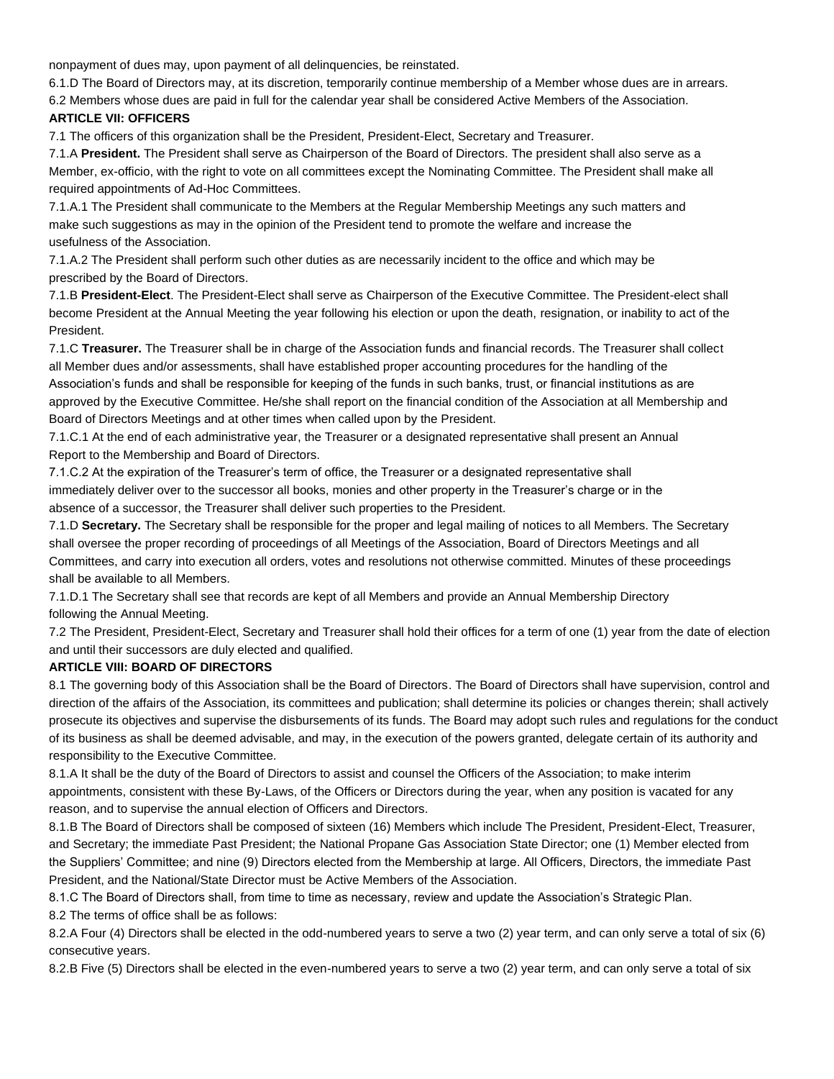nonpayment of dues may, upon payment of all delinquencies, be reinstated.

6.1.D The Board of Directors may, at its discretion, temporarily continue membership of a Member whose dues are in arrears.

6.2 Members whose dues are paid in full for the calendar year shall be considered Active Members of the Association.

#### **ARTICLE VII: OFFICERS**

7.1 The officers of this organization shall be the President, President-Elect, Secretary and Treasurer.

7.1.A **President.** The President shall serve as Chairperson of the Board of Directors. The president shall also serve as a Member, ex-officio, with the right to vote on all committees except the Nominating Committee. The President shall make all required appointments of Ad-Hoc Committees.

7.1.A.1 The President shall communicate to the Members at the Regular Membership Meetings any such matters and make such suggestions as may in the opinion of the President tend to promote the welfare and increase the usefulness of the Association.

7.1.A.2 The President shall perform such other duties as are necessarily incident to the office and which may be prescribed by the Board of Directors.

7.1.B **President-Elect**. The President-Elect shall serve as Chairperson of the Executive Committee. The President-elect shall become President at the Annual Meeting the year following his election or upon the death, resignation, or inability to act of the President.

7.1.C **Treasurer.** The Treasurer shall be in charge of the Association funds and financial records. The Treasurer shall collect all Member dues and/or assessments, shall have established proper accounting procedures for the handling of the Association's funds and shall be responsible for keeping of the funds in such banks, trust, or financial institutions as are approved by the Executive Committee. He/she shall report on the financial condition of the Association at all Membership and Board of Directors Meetings and at other times when called upon by the President.

7.1.C.1 At the end of each administrative year, the Treasurer or a designated representative shall present an Annual Report to the Membership and Board of Directors.

7.1.C.2 At the expiration of the Treasurer's term of office, the Treasurer or a designated representative shall immediately deliver over to the successor all books, monies and other property in the Treasurer's charge or in the absence of a successor, the Treasurer shall deliver such properties to the President.

7.1.D **Secretary.** The Secretary shall be responsible for the proper and legal mailing of notices to all Members. The Secretary shall oversee the proper recording of proceedings of all Meetings of the Association, Board of Directors Meetings and all Committees, and carry into execution all orders, votes and resolutions not otherwise committed. Minutes of these proceedings shall be available to all Members.

7.1.D.1 The Secretary shall see that records are kept of all Members and provide an Annual Membership Directory following the Annual Meeting.

7.2 The President, President-Elect, Secretary and Treasurer shall hold their offices for a term of one (1) year from the date of election and until their successors are duly elected and qualified.

### **ARTICLE VIII: BOARD OF DIRECTORS**

8.1 The governing body of this Association shall be the Board of Directors. The Board of Directors shall have supervision, control and direction of the affairs of the Association, its committees and publication; shall determine its policies or changes therein; shall actively prosecute its objectives and supervise the disbursements of its funds. The Board may adopt such rules and regulations for the conduct of its business as shall be deemed advisable, and may, in the execution of the powers granted, delegate certain of its authority and responsibility to the Executive Committee.

8.1.A It shall be the duty of the Board of Directors to assist and counsel the Officers of the Association; to make interim appointments, consistent with these By-Laws, of the Officers or Directors during the year, when any position is vacated for any reason, and to supervise the annual election of Officers and Directors.

8.1.B The Board of Directors shall be composed of sixteen (16) Members which include The President, President-Elect, Treasurer, and Secretary; the immediate Past President; the National Propane Gas Association State Director; one (1) Member elected from the Suppliers' Committee; and nine (9) Directors elected from the Membership at large. All Officers, Directors, the immediate Past President, and the National/State Director must be Active Members of the Association.

8.1.C The Board of Directors shall, from time to time as necessary, review and update the Association's Strategic Plan.

8.2 The terms of office shall be as follows:

8.2.A Four (4) Directors shall be elected in the odd-numbered years to serve a two (2) year term, and can only serve a total of six (6) consecutive years.

8.2.B Five (5) Directors shall be elected in the even-numbered years to serve a two (2) year term, and can only serve a total of six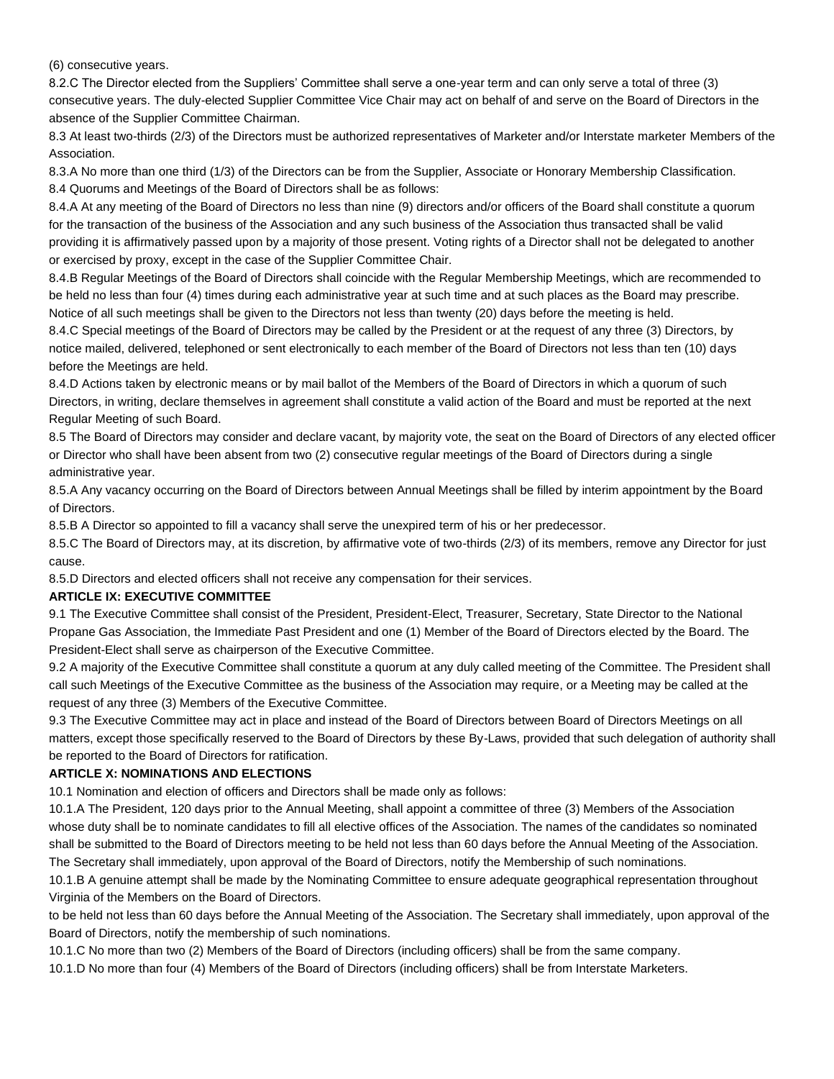(6) consecutive years.

8.2.C The Director elected from the Suppliers' Committee shall serve a one-year term and can only serve a total of three (3) consecutive years. The duly-elected Supplier Committee Vice Chair may act on behalf of and serve on the Board of Directors in the absence of the Supplier Committee Chairman.

8.3 At least two-thirds (2/3) of the Directors must be authorized representatives of Marketer and/or Interstate marketer Members of the Association.

8.3.A No more than one third (1/3) of the Directors can be from the Supplier, Associate or Honorary Membership Classification. 8.4 Quorums and Meetings of the Board of Directors shall be as follows:

8.4.A At any meeting of the Board of Directors no less than nine (9) directors and/or officers of the Board shall constitute a quorum for the transaction of the business of the Association and any such business of the Association thus transacted shall be valid providing it is affirmatively passed upon by a majority of those present. Voting rights of a Director shall not be delegated to another or exercised by proxy, except in the case of the Supplier Committee Chair.

8.4.B Regular Meetings of the Board of Directors shall coincide with the Regular Membership Meetings, which are recommended to be held no less than four (4) times during each administrative year at such time and at such places as the Board may prescribe. Notice of all such meetings shall be given to the Directors not less than twenty (20) days before the meeting is held.

8.4.C Special meetings of the Board of Directors may be called by the President or at the request of any three (3) Directors, by notice mailed, delivered, telephoned or sent electronically to each member of the Board of Directors not less than ten (10) days before the Meetings are held.

8.4.D Actions taken by electronic means or by mail ballot of the Members of the Board of Directors in which a quorum of such Directors, in writing, declare themselves in agreement shall constitute a valid action of the Board and must be reported at the next Regular Meeting of such Board.

8.5 The Board of Directors may consider and declare vacant, by majority vote, the seat on the Board of Directors of any elected officer or Director who shall have been absent from two (2) consecutive regular meetings of the Board of Directors during a single administrative year.

8.5.A Any vacancy occurring on the Board of Directors between Annual Meetings shall be filled by interim appointment by the Board of Directors.

8.5.B A Director so appointed to fill a vacancy shall serve the unexpired term of his or her predecessor.

8.5.C The Board of Directors may, at its discretion, by affirmative vote of two-thirds (2/3) of its members, remove any Director for just cause.

8.5.D Directors and elected officers shall not receive any compensation for their services.

#### **ARTICLE IX: EXECUTIVE COMMITTEE**

9.1 The Executive Committee shall consist of the President, President-Elect, Treasurer, Secretary, State Director to the National Propane Gas Association, the Immediate Past President and one (1) Member of the Board of Directors elected by the Board. The President-Elect shall serve as chairperson of the Executive Committee.

9.2 A majority of the Executive Committee shall constitute a quorum at any duly called meeting of the Committee. The President shall call such Meetings of the Executive Committee as the business of the Association may require, or a Meeting may be called at the request of any three (3) Members of the Executive Committee.

9.3 The Executive Committee may act in place and instead of the Board of Directors between Board of Directors Meetings on all matters, except those specifically reserved to the Board of Directors by these By-Laws, provided that such delegation of authority shall be reported to the Board of Directors for ratification.

#### **ARTICLE X: NOMINATIONS AND ELECTIONS**

10.1 Nomination and election of officers and Directors shall be made only as follows:

10.1.A The President, 120 days prior to the Annual Meeting, shall appoint a committee of three (3) Members of the Association whose duty shall be to nominate candidates to fill all elective offices of the Association. The names of the candidates so nominated shall be submitted to the Board of Directors meeting to be held not less than 60 days before the Annual Meeting of the Association. The Secretary shall immediately, upon approval of the Board of Directors, notify the Membership of such nominations.

10.1.B A genuine attempt shall be made by the Nominating Committee to ensure adequate geographical representation throughout Virginia of the Members on the Board of Directors.

to be held not less than 60 days before the Annual Meeting of the Association. The Secretary shall immediately, upon approval of the Board of Directors, notify the membership of such nominations.

10.1.C No more than two (2) Members of the Board of Directors (including officers) shall be from the same company.

10.1.D No more than four (4) Members of the Board of Directors (including officers) shall be from Interstate Marketers.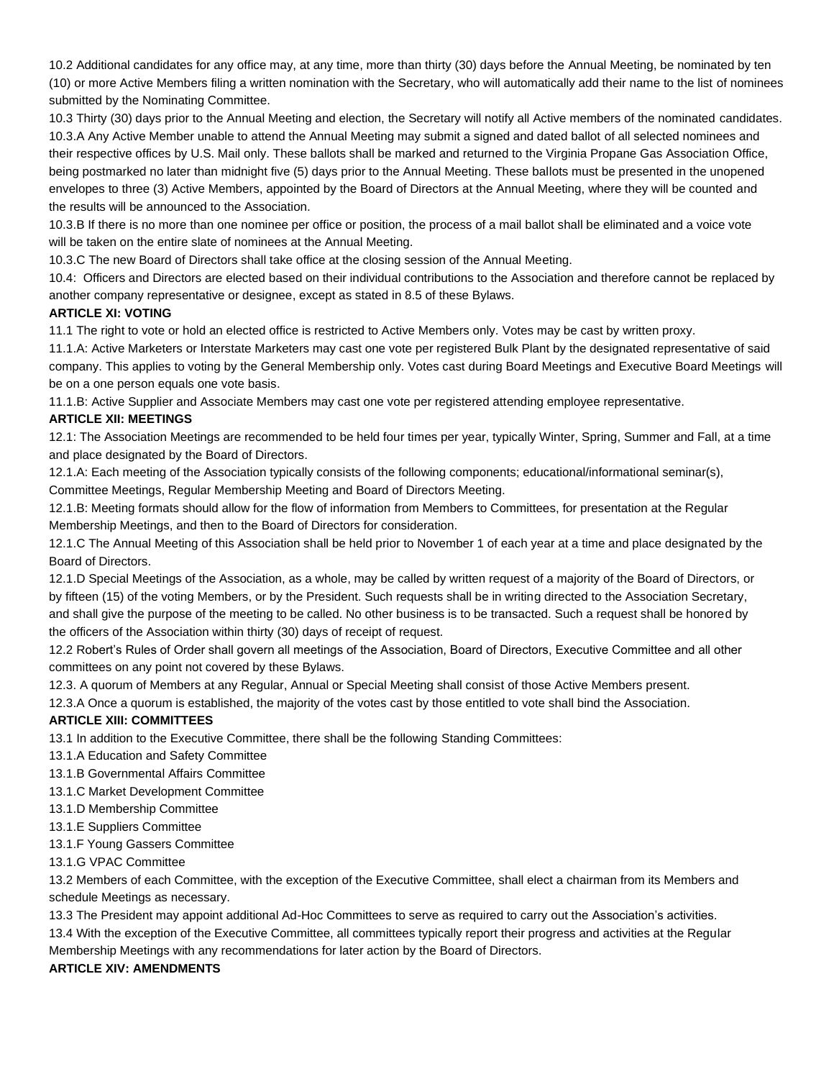10.2 Additional candidates for any office may, at any time, more than thirty (30) days before the Annual Meeting, be nominated by ten (10) or more Active Members filing a written nomination with the Secretary, who will automatically add their name to the list of nominees submitted by the Nominating Committee.

10.3 Thirty (30) days prior to the Annual Meeting and election, the Secretary will notify all Active members of the nominated candidates. 10.3.A Any Active Member unable to attend the Annual Meeting may submit a signed and dated ballot of all selected nominees and their respective offices by U.S. Mail only. These ballots shall be marked and returned to the Virginia Propane Gas Association Office, being postmarked no later than midnight five (5) days prior to the Annual Meeting. These ballots must be presented in the unopened envelopes to three (3) Active Members, appointed by the Board of Directors at the Annual Meeting, where they will be counted and the results will be announced to the Association.

10.3.B If there is no more than one nominee per office or position, the process of a mail ballot shall be eliminated and a voice vote will be taken on the entire slate of nominees at the Annual Meeting.

10.3.C The new Board of Directors shall take office at the closing session of the Annual Meeting.

10.4: Officers and Directors are elected based on their individual contributions to the Association and therefore cannot be replaced by another company representative or designee, except as stated in 8.5 of these Bylaws.

#### **ARTICLE XI: VOTING**

11.1 The right to vote or hold an elected office is restricted to Active Members only. Votes may be cast by written proxy.

11.1.A: Active Marketers or Interstate Marketers may cast one vote per registered Bulk Plant by the designated representative of said company. This applies to voting by the General Membership only. Votes cast during Board Meetings and Executive Board Meetings will be on a one person equals one vote basis.

11.1.B: Active Supplier and Associate Members may cast one vote per registered attending employee representative.

### **ARTICLE XII: MEETINGS**

12.1: The Association Meetings are recommended to be held four times per year, typically Winter, Spring, Summer and Fall, at a time and place designated by the Board of Directors.

12.1.A: Each meeting of the Association typically consists of the following components; educational/informational seminar(s), Committee Meetings, Regular Membership Meeting and Board of Directors Meeting.

12.1.B: Meeting formats should allow for the flow of information from Members to Committees, for presentation at the Regular Membership Meetings, and then to the Board of Directors for consideration.

12.1.C The Annual Meeting of this Association shall be held prior to November 1 of each year at a time and place designated by the Board of Directors.

12.1.D Special Meetings of the Association, as a whole, may be called by written request of a majority of the Board of Directors, or by fifteen (15) of the voting Members, or by the President. Such requests shall be in writing directed to the Association Secretary, and shall give the purpose of the meeting to be called. No other business is to be transacted. Such a request shall be honored by the officers of the Association within thirty (30) days of receipt of request.

12.2 Robert's Rules of Order shall govern all meetings of the Association, Board of Directors, Executive Committee and all other committees on any point not covered by these Bylaws.

12.3. A quorum of Members at any Regular, Annual or Special Meeting shall consist of those Active Members present.

12.3.A Once a quorum is established, the majority of the votes cast by those entitled to vote shall bind the Association.

# **ARTICLE XIII: COMMITTEES**

13.1 In addition to the Executive Committee, there shall be the following Standing Committees:

- 13.1.A Education and Safety Committee
- 13.1.B Governmental Affairs Committee
- 13.1.C Market Development Committee
- 13.1.D Membership Committee
- 13.1.E Suppliers Committee
- 13.1.F Young Gassers Committee
- 13.1.G VPAC Committee

13.2 Members of each Committee, with the exception of the Executive Committee, shall elect a chairman from its Members and schedule Meetings as necessary.

13.3 The President may appoint additional Ad-Hoc Committees to serve as required to carry out the Association's activities.

13.4 With the exception of the Executive Committee, all committees typically report their progress and activities at the Regular

Membership Meetings with any recommendations for later action by the Board of Directors.

# **ARTICLE XIV: AMENDMENTS**